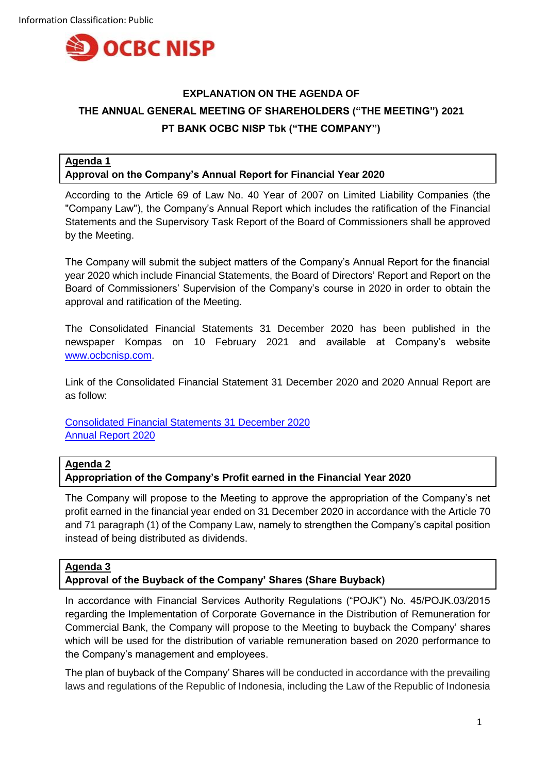

# **EXPLANATION ON THE AGENDA OF THE ANNUAL GENERAL MEETING OF SHAREHOLDERS ("THE MEETING") 2021 PT BANK OCBC NISP Tbk ("THE COMPANY")**

## **Agenda 1 Approval on the Company's Annual Report for Financial Year 2020**

According to the Article 69 of Law No. 40 Year of 2007 on Limited Liability Companies (the "Company Law"), the Company's Annual Report which includes the ratification of the Financial Statements and the Supervisory Task Report of the Board of Commissioners shall be approved by the Meeting.

The Company will submit the subject matters of the Company's Annual Report for the financial year 2020 which include Financial Statements, the Board of Directors' Report and Report on the Board of Commissioners' Supervision of the Company's course in 2020 in order to obtain the approval and ratification of the Meeting.

The Consolidated Financial Statements 31 December 2020 has been published in the newspaper Kompas on 10 February 2021 and available at Company's website [www.ocbcnisp.com.](http://www.ocbcnisp.com/)

Link of the Consolidated Financial Statement 31 December 2020 and 2020 Annual Report are as follow:

[Consolidated Financial Statements 31 December 2020](https://www.ocbcnisp.com/en/Tentang-OCBC-NISP/hubungan-investor?category=informasi-keuangan) [Annual Report 2020](https://www.ocbcnisp.com/en/Tentang-OCBC-NISP/hubungan-investor?category=laporan-tahunan)

# **Agenda 2**

# **Appropriation of the Company's Profit earned in the Financial Year 2020**

The Company will propose to the Meeting to approve the appropriation of the Company's net profit earned in the financial year ended on 31 December 2020 in accordance with the Article 70 and 71 paragraph (1) of the Company Law, namely to strengthen the Company's capital position instead of being distributed as dividends.

### **Agenda 3**

### **Approval of the Buyback of the Company' Shares (Share Buyback)**

In accordance with Financial Services Authority Regulations ("POJK") No. 45/POJK.03/2015 regarding the Implementation of Corporate Governance in the Distribution of Remuneration for Commercial Bank, the Company will propose to the Meeting to buyback the Company' shares which will be used for the distribution of variable remuneration based on 2020 performance to the Company's management and employees.

The plan of buyback of the Company' Shares will be conducted in accordance with the prevailing laws and regulations of the Republic of Indonesia, including the Law of the Republic of Indonesia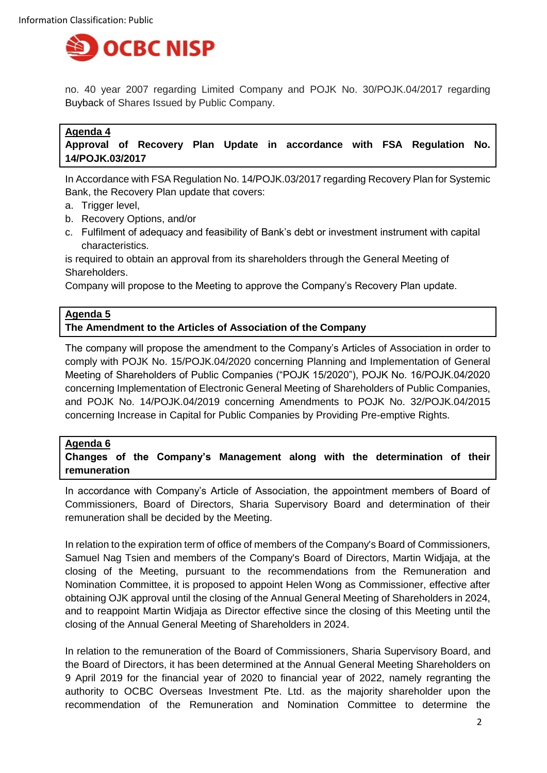

no. 40 year 2007 regarding Limited Company and POJK No. 30/POJK.04/2017 regarding Buyback of Shares Issued by Public Company.

### **Agenda 4**

**Approval of Recovery Plan Update in accordance with FSA Regulation No. 14/POJK.03/2017**

In Accordance with FSA Regulation No. 14/POJK.03/2017 regarding Recovery Plan for Systemic Bank, the Recovery Plan update that covers:

- a. Trigger level,
- b. Recovery Options, and/or
- c. Fulfilment of adequacy and feasibility of Bank's debt or investment instrument with capital characteristics.

is required to obtain an approval from its shareholders through the General Meeting of Shareholders.

Company will propose to the Meeting to approve the Company's Recovery Plan update.

### **Agenda 5**

#### **The Amendment to the Articles of Association of the Company**

The company will propose the amendment to the Company's Articles of Association in order to comply with POJK No. 15/POJK.04/2020 concerning Planning and Implementation of General Meeting of Shareholders of Public Companies ("POJK 15/2020"), POJK No. 16/POJK.04/2020 concerning Implementation of Electronic General Meeting of Shareholders of Public Companies, and POJK No. 14/POJK.04/2019 concerning Amendments to POJK No. 32/POJK.04/2015 concerning Increase in Capital for Public Companies by Providing Pre-emptive Rights.

#### **Agenda 6**

**Changes of the Company's Management along with the determination of their remuneration**

In accordance with Company's Article of Association, the appointment members of Board of Commissioners, Board of Directors, Sharia Supervisory Board and determination of their remuneration shall be decided by the Meeting.

In relation to the expiration term of office of members of the Company's Board of Commissioners, Samuel Nag Tsien and members of the Company's Board of Directors, Martin Widjaja, at the closing of the Meeting, pursuant to the recommendations from the Remuneration and Nomination Committee, it is proposed to appoint Helen Wong as Commissioner, effective after obtaining OJK approval until the closing of the Annual General Meeting of Shareholders in 2024, and to reappoint Martin Widjaja as Director effective since the closing of this Meeting until the closing of the Annual General Meeting of Shareholders in 2024.

In relation to the remuneration of the Board of Commissioners, Sharia Supervisory Board, and the Board of Directors, it has been determined at the Annual General Meeting Shareholders on 9 April 2019 for the financial year of 2020 to financial year of 2022, namely regranting the authority to OCBC Overseas Investment Pte. Ltd. as the majority shareholder upon the recommendation of the Remuneration and Nomination Committee to determine the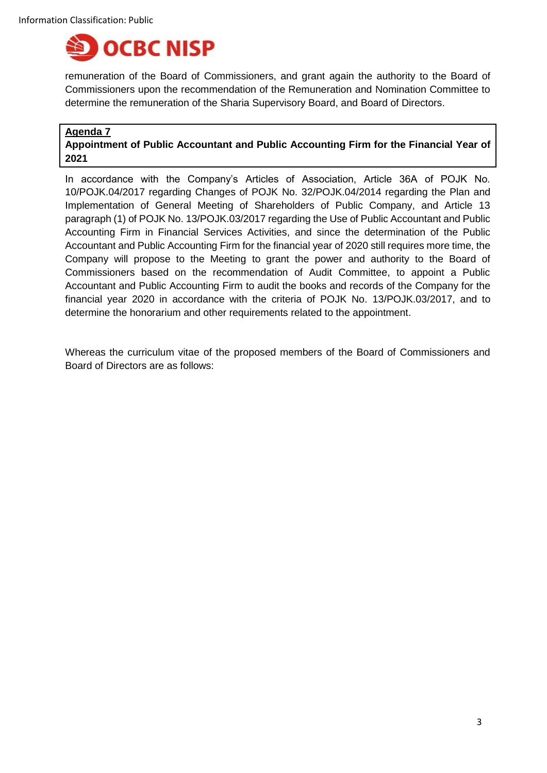

remuneration of the Board of Commissioners, and grant again the authority to the Board of Commissioners upon the recommendation of the Remuneration and Nomination Committee to determine the remuneration of the Sharia Supervisory Board, and Board of Directors.

### **Agenda 7**

# **Appointment of Public Accountant and Public Accounting Firm for the Financial Year of 2021**

In accordance with the Company's Articles of Association, Article 36A of POJK No. 10/POJK.04/2017 regarding Changes of POJK No. 32/POJK.04/2014 regarding the Plan and Implementation of General Meeting of Shareholders of Public Company, and Article 13 paragraph (1) of POJK No. 13/POJK.03/2017 regarding the Use of Public Accountant and Public Accounting Firm in Financial Services Activities, and since the determination of the Public Accountant and Public Accounting Firm for the financial year of 2020 still requires more time, the Company will propose to the Meeting to grant the power and authority to the Board of Commissioners based on the recommendation of Audit Committee, to appoint a Public Accountant and Public Accounting Firm to audit the books and records of the Company for the financial year 2020 in accordance with the criteria of POJK No. 13/POJK.03/2017, and to determine the honorarium and other requirements related to the appointment.

Whereas the curriculum vitae of the proposed members of the Board of Commissioners and Board of Directors are as follows: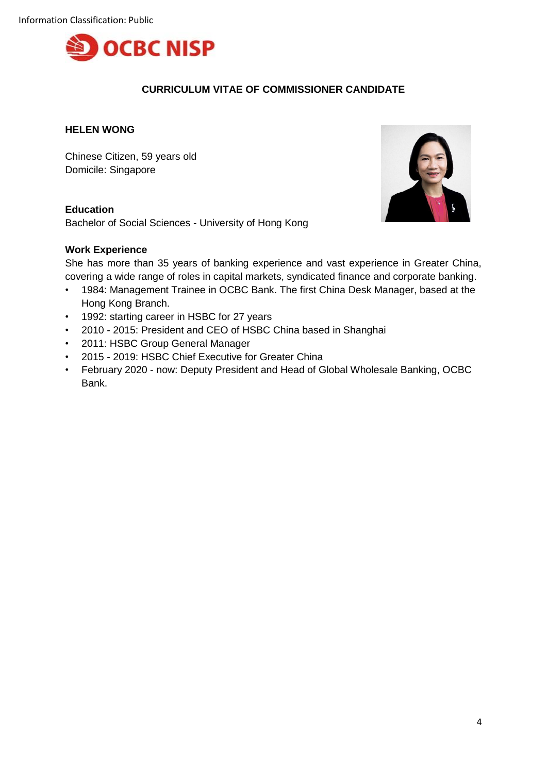

# **CURRICULUM VITAE OF COMMISSIONER CANDIDATE**

### **HELEN WONG**

Chinese Citizen, 59 years old Domicile: Singapore

### **Education**

Bachelor of Social Sciences - University of Hong Kong

### **Work Experience**



She has more than 35 years of banking experience and vast experience in Greater China, covering a wide range of roles in capital markets, syndicated finance and corporate banking.

- 1984: Management Trainee in OCBC Bank. The first China Desk Manager, based at the Hong Kong Branch.
- 1992: starting career in HSBC for 27 years
- 2010 2015: President and CEO of HSBC China based in Shanghai
- 2011: HSBC Group General Manager
- 2015 2019: HSBC Chief Executive for Greater China
- February 2020 now: Deputy President and Head of Global Wholesale Banking, OCBC Bank.